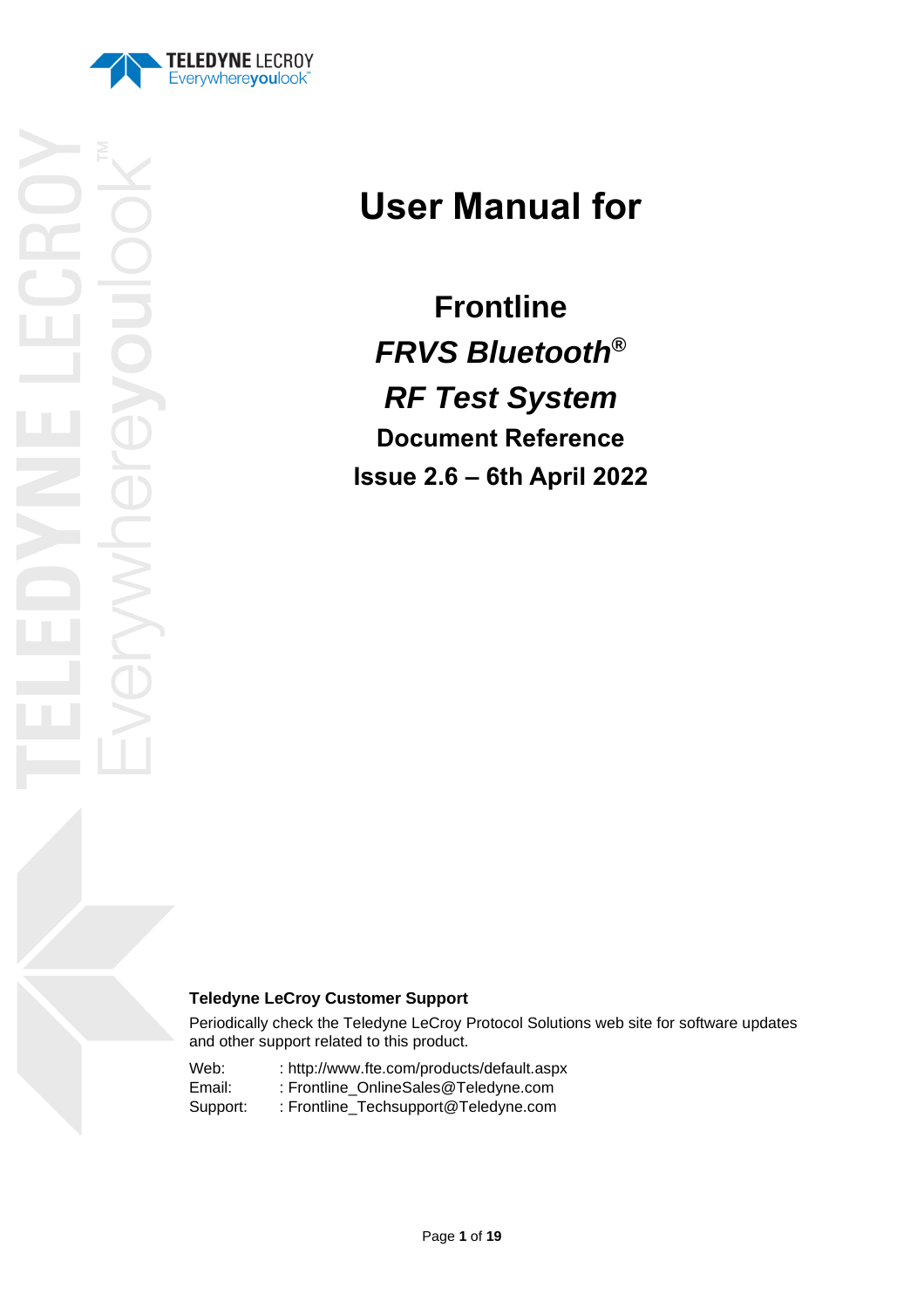

# **User Manual for**

**Frontline**  *FRVS Bluetooth***®** *RF Test System* **Document Reference Issue 2.6 – 6th April 2022**

## **Teledyne LeCroy Customer Support**

Periodically check the Teledyne LeCroy Protocol Solutions web site for software updates and other support related to this product.

Web: : http://www.fte.com/products/default.aspx Email: : Frontline\_OnlineSales@Teledyne.com Support: : Frontline\_Techsupport@Teledyne.com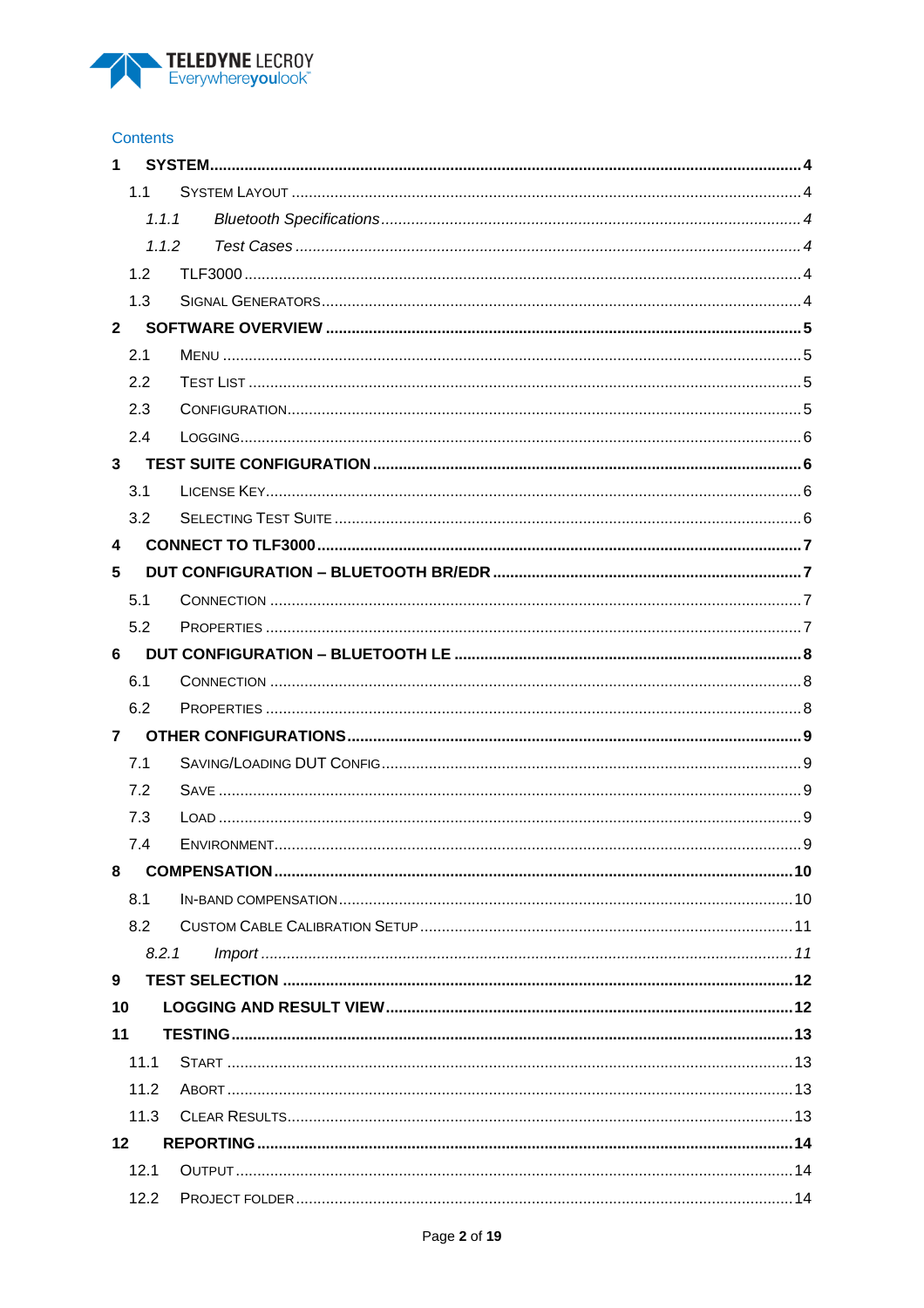

#### Contents

| 1            |      |       |  |
|--------------|------|-------|--|
|              | 1.1  |       |  |
|              |      | 1.1.1 |  |
|              |      | 1.1.2 |  |
|              | 1.2  |       |  |
|              | 1.3  |       |  |
| $\mathbf{2}$ |      |       |  |
|              | 2.1  |       |  |
|              | 2.2  |       |  |
|              | 2.3  |       |  |
|              | 2.4  |       |  |
| $3^{\circ}$  |      |       |  |
|              | 3.1  |       |  |
|              | 3.2  |       |  |
| 4            |      |       |  |
| 5            |      |       |  |
|              | 5.1  |       |  |
|              | 5.2  |       |  |
| 6            |      |       |  |
|              | 6.1  |       |  |
|              | 6.2  |       |  |
| 7            |      |       |  |
|              | 7.1  |       |  |
|              | 7.2  |       |  |
|              | 7.3  |       |  |
|              | 7.4  |       |  |
| 8            |      |       |  |
|              | 8.1  |       |  |
|              | 8.2  |       |  |
|              |      | 8.2.1 |  |
| 9            |      |       |  |
| 10           |      |       |  |
| 11           |      |       |  |
|              | 11.1 |       |  |
|              | 11.2 |       |  |
|              | 11.3 |       |  |
| 12           |      |       |  |
|              | 12.1 |       |  |
|              | 12.2 |       |  |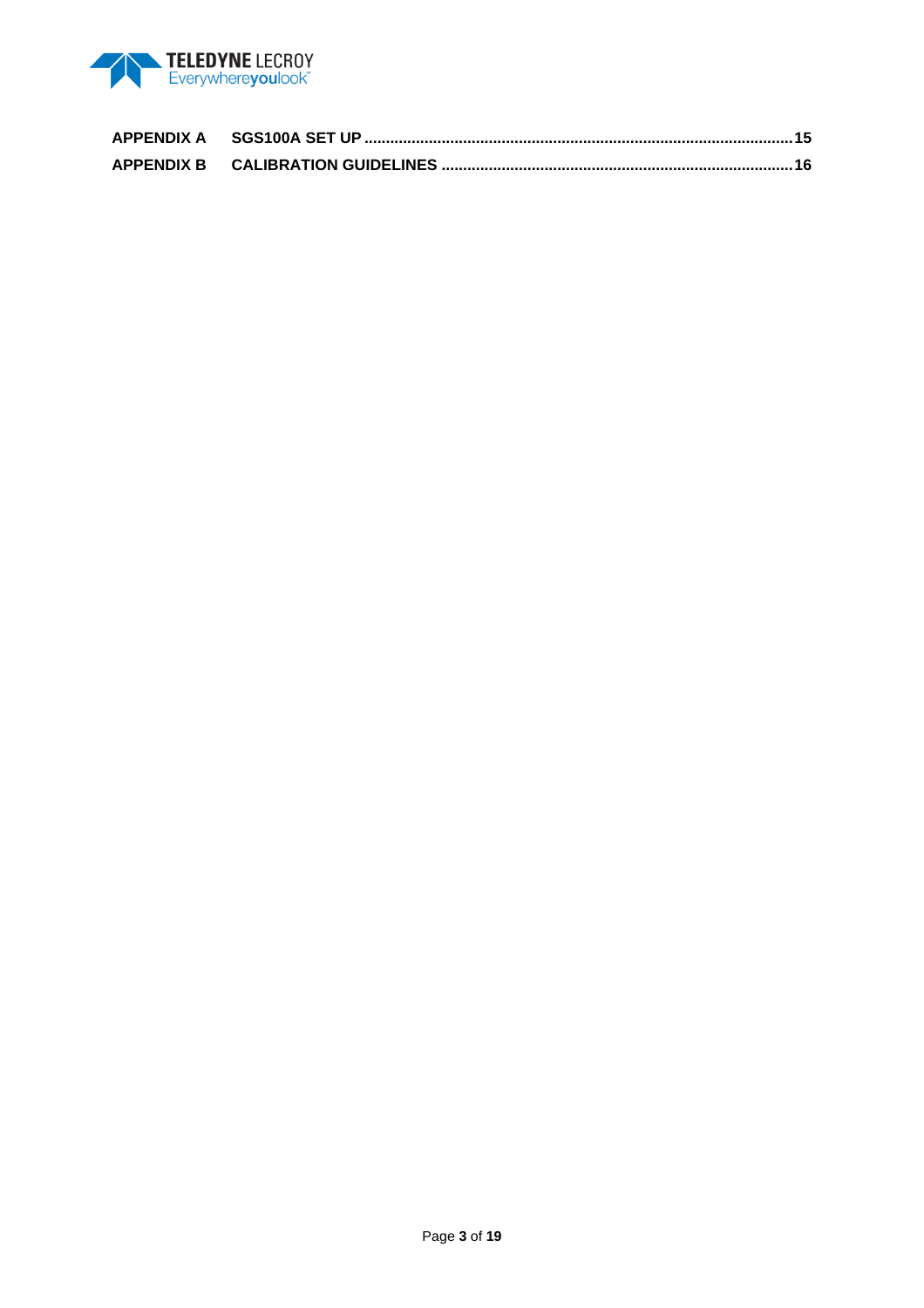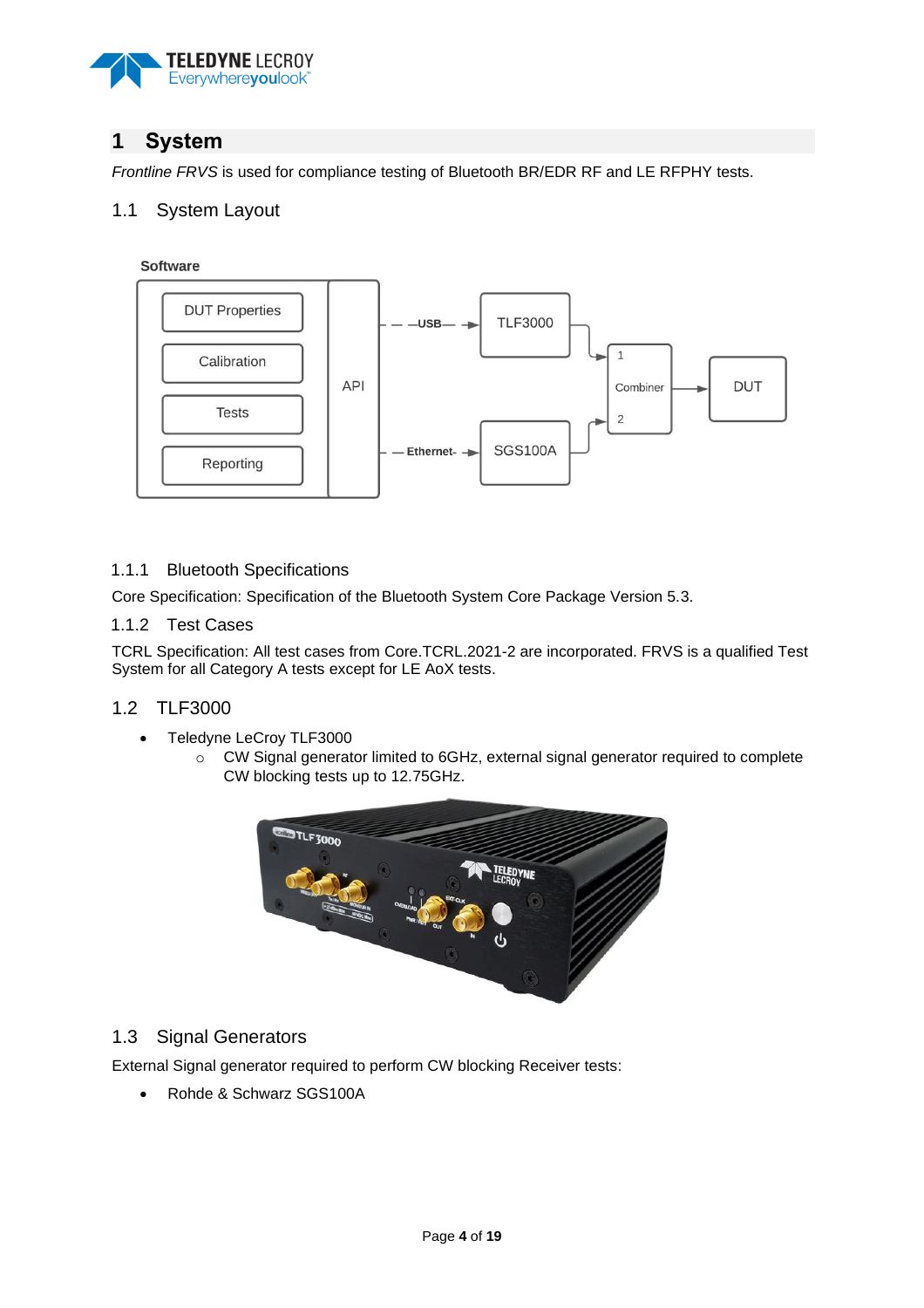

## <span id="page-3-0"></span>**1 System**

*Frontline FRVS* is used for compliance testing of Bluetooth BR/EDR RF and LE RFPHY tests.

## <span id="page-3-1"></span>1.1 System Layout

Software



#### <span id="page-3-2"></span>1.1.1 Bluetooth Specifications

Core Specification: Specification of the Bluetooth System Core Package Version 5.3.

#### <span id="page-3-3"></span>1.1.2 Test Cases

TCRL Specification: All test cases from Core.TCRL.2021-2 are incorporated. FRVS is a qualified Test System for all Category A tests except for LE AoX tests.

## <span id="page-3-4"></span>1.2 TLF3000

- Teledyne LeCroy TLF3000
	- o CW Signal generator limited to 6GHz, external signal generator required to complete CW blocking tests up to 12.75GHz.



## <span id="page-3-5"></span>1.3 Signal Generators

External Signal generator required to perform CW blocking Receiver tests:

• Rohde & Schwarz SGS100A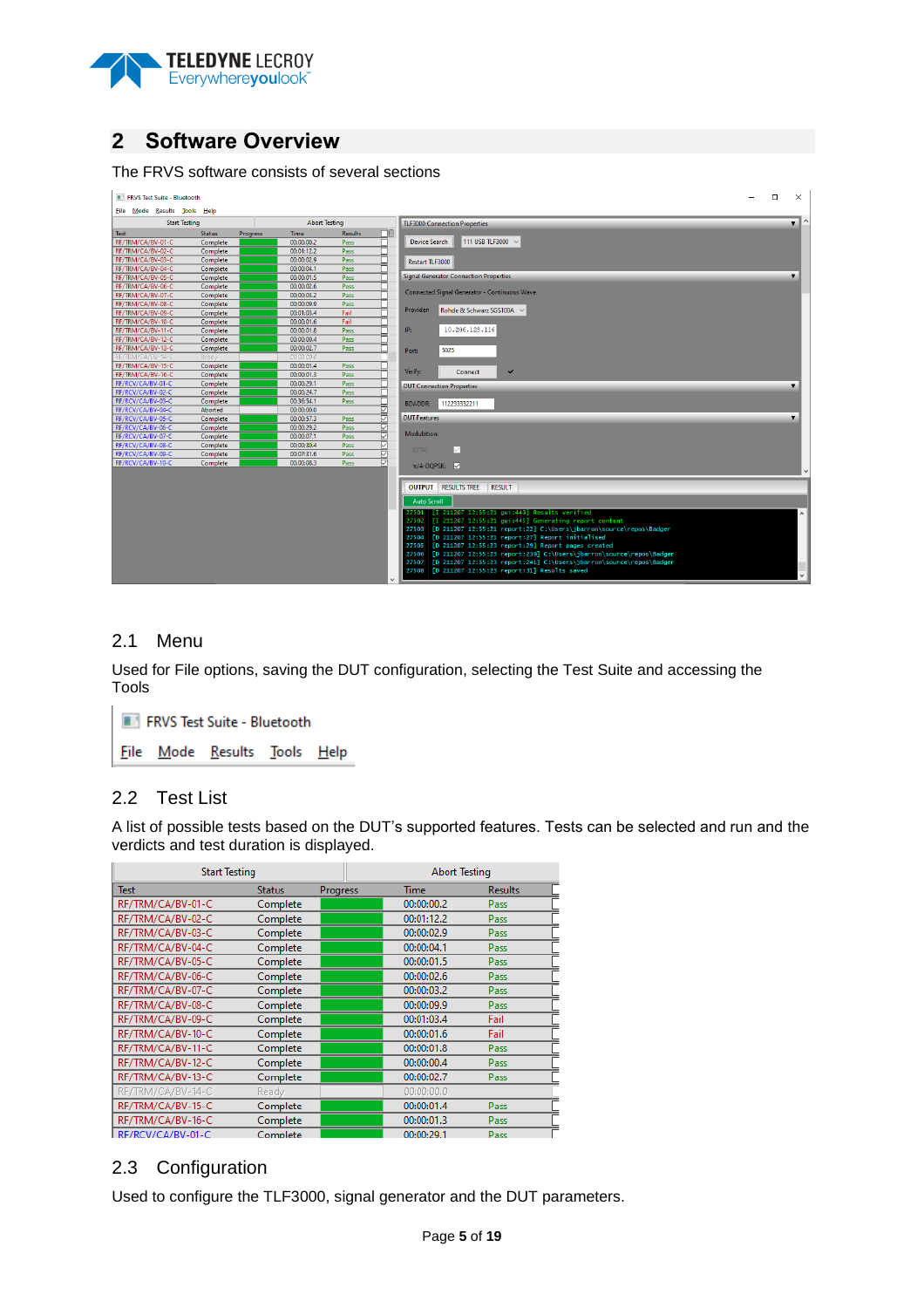

## <span id="page-4-0"></span>**2 Software Overview**

#### The FRVS software consists of several sections

| FRVS Test Suite - Bluetooth                  |               |          |                                      |                         |                                                                                                                                                          | $\Box$<br>$\times$      |
|----------------------------------------------|---------------|----------|--------------------------------------|-------------------------|----------------------------------------------------------------------------------------------------------------------------------------------------------|-------------------------|
| File Mode Results Tools Help                 |               |          |                                      |                         |                                                                                                                                                          |                         |
| <b>Abort Testing</b><br><b>Start Testing</b> |               |          | <b>TLF3000 Connection Properties</b> | $\overline{\mathbf{v}}$ |                                                                                                                                                          |                         |
| <b>Test</b>                                  | <b>Status</b> | Progress | <b>Time</b>                          | <b>Results</b>          | ◨                                                                                                                                                        |                         |
| RF/TRM/CA/BV-01-C                            | Complete      |          | 00:00:00.2                           | Pass                    | 111 USB TLF3000 ~<br><b>Device Search</b>                                                                                                                |                         |
| RE/TRM/CA/BV-02-C                            | Complete      |          | 00:01:12.2                           | <b>Pass</b>             |                                                                                                                                                          |                         |
| RF/TRM/CA/BV-03-C                            | Complete      |          | 00:00:02.9                           | Pass                    | Restart TLF3000                                                                                                                                          |                         |
| RF/TRM/CA/BV-04-C                            | Complete      |          | 00:00:04.1                           | Pass                    |                                                                                                                                                          |                         |
| RF/TRM/CA/BV-05-C                            | Complete      |          | 00:00:01.5                           | Pass                    | <b>Signal Generator Connection Properties</b>                                                                                                            | $\overline{\mathbf{v}}$ |
| RF/TRM/CA/BV-06-C                            | Complete      |          | 00:00:02.6                           | Pass                    |                                                                                                                                                          |                         |
| RF/TRM/CA/BV-07-C                            | Complete      |          | 00:00:03.2                           | Pass                    | Connected Signal Generator - Continuous Wave                                                                                                             |                         |
| RF/TRM/CA/BV-08-C                            | Complete      |          | 00:00:09.9                           | Pass                    |                                                                                                                                                          |                         |
| RF/TRM/CA/BV-09-C                            | Complete      |          | 00:01:03.4                           | Fail                    | Rohde & Schwarz SGS100A $\sim$<br>Provider:                                                                                                              |                         |
| RF/TRM/CA/BV-10-C                            | Complete      |          | 00:00:01.6                           | Fail                    |                                                                                                                                                          |                         |
| RF/TRM/CA/BV-11-C                            | Complete      |          | 00:00:01.8                           | Pass                    | 10.206.128.116<br>IP:                                                                                                                                    |                         |
| RF/TRM/CA/BV-12-C                            | Complete      |          | 00:00:00.4                           | Pass                    |                                                                                                                                                          |                         |
| RF/TRM/CA/BV-13-C                            | Complete      |          | 00:00:02.7                           | Pass                    | 5025<br>Port:                                                                                                                                            |                         |
| RF/TRM/CA/BV-14-C                            | Ready         |          | 00:00:00.0                           |                         |                                                                                                                                                          |                         |
| RF/TRM/CA/BV-15-C                            | Complete      |          | 00:00:01.4                           | Pass                    |                                                                                                                                                          |                         |
| RF/TRM/CA/BV-16-C                            | Complete      |          | 00:00:01.3                           | Pass                    | Verify:<br>$\checkmark$<br>Connect                                                                                                                       |                         |
| RF/RCV/CA/BV-01-C                            | Complete      |          | 00:00:29.1                           | Pass                    | <b>DUT Connection Properties</b>                                                                                                                         | ۰                       |
| RF/RCV/CA/BV-02-C                            | Complete      |          | 00:00:24.7                           | Pass                    |                                                                                                                                                          |                         |
| RF/RCV/CA/BV-03-C                            | Complete      |          | 00:36:54.1                           | Pass                    | 112233332211<br><b>BDADDR:</b>                                                                                                                           |                         |
| RF/RCV/CA/BV-04-C                            | Aborted       |          | 00:00:00.0                           |                         | ╔                                                                                                                                                        |                         |
| RF/RCV/CA/BV-05-C                            | Complete      |          | 00:00:57.3                           | <b>Pass</b>             | ₹<br><b>DUT Features</b>                                                                                                                                 | $\overline{\mathbf{v}}$ |
| RF/RCV/CA/BV-06-C                            | Complete      |          | 00:00:29.2                           | Pass                    | s                                                                                                                                                        |                         |
| RF/RCV/CA/BV-07-C                            | Complete      |          | 00:00:07.1                           | Pass                    | Modulation:                                                                                                                                              |                         |
| RF/RCV/CA/BV-08-C                            | Complete      |          | 00:00:30.4                           | Pass                    | ☑<br>☑<br><b>GFSK:</b>                                                                                                                                   |                         |
| RF/RCV/CA/BV-09-C                            | Complete      |          | 00:07:31.6                           | Pass                    | ₹                                                                                                                                                        |                         |
| RF/RCV/CA/BV-10-C                            | Complete      |          | 00:00:08.3                           | Pass                    | ☑<br>$\pi$ /4-DOPSK: $\nabla$                                                                                                                            |                         |
|                                              |               |          |                                      |                         |                                                                                                                                                          |                         |
|                                              |               |          |                                      |                         | <b>OUTPUT RESULTS TREE</b><br><b>RESULT</b>                                                                                                              |                         |
|                                              |               |          |                                      |                         | <b>Auto Scroll</b>                                                                                                                                       |                         |
|                                              |               |          |                                      |                         | 27501   [I 211207 12:55:21 qui:443] Results verified                                                                                                     |                         |
|                                              |               |          |                                      |                         | 27502 [I 211207 12:55:21 gui:445] Generating report content                                                                                              |                         |
|                                              |               |          |                                      |                         | 27503 [D 211207 12:55:21 report:22] C:\Users\jbarron\source\repos\Badger                                                                                 |                         |
|                                              |               |          |                                      |                         | 27504 [D 211207 12:55:21 report:27] Report initialised                                                                                                   |                         |
|                                              |               |          |                                      |                         | 27505 [D 211207 12:55:23 report:29] Report pages created                                                                                                 |                         |
|                                              |               |          |                                      |                         | 27506   [D 211207 12:55:23 report:239] C:\Users\jbarron\source\repos\Badger<br>27507 [D 211207 12:55:23 report:241] C:\Users\jbarron\source\repos\Badger |                         |
|                                              |               |          |                                      |                         | 27508   [D 211207 12:55:23 report:31] Results saved                                                                                                      |                         |
|                                              |               |          |                                      |                         | $\checkmark$                                                                                                                                             |                         |
|                                              |               |          |                                      |                         |                                                                                                                                                          |                         |

## <span id="page-4-1"></span>2.1 Menu

Used for File options, saving the DUT configuration, selecting the Test Suite and accessing the Tools

FRVS Test Suite - Bluetooth **File** Mode Results Tools Help

## <span id="page-4-2"></span>2.2 Test List

A list of possible tests based on the DUT's supported features. Tests can be selected and run and the verdicts and test duration is displayed.

| <b>Start Testing</b> |               |          | <b>Abort Testing</b> |                |  |
|----------------------|---------------|----------|----------------------|----------------|--|
| <b>Test</b>          | <b>Status</b> | Progress | Time                 | <b>Results</b> |  |
| RF/TRM/CA/BV-01-C    | Complete      |          | 00:00:00.2           | Pass           |  |
| RF/TRM/CA/BV-02-C    | Complete      |          | 00:01:12.2           | Pass           |  |
| RF/TRM/CA/BV-03-C    | Complete      |          | 00:00:02.9           | Pass           |  |
| RF/TRM/CA/BV-04-C    | Complete      |          | 00:00:04.1           | Pass           |  |
| RF/TRM/CA/BV-05-C    | Complete      |          | 00:00:01.5           | Pass           |  |
| RF/TRM/CA/BV-06-C    | Complete      |          | 00:00:02.6           | Pass           |  |
| RF/TRM/CA/BV-07-C    | Complete      |          | 00:00:03.2           | Pass           |  |
| RF/TRM/CA/BV-08-C    | Complete      |          | 00:00:09.9           | Pass           |  |
| RF/TRM/CA/BV-09-C    | Complete      |          | 00:01:03.4           | Fail           |  |
| RF/TRM/CA/BV-10-C    | Complete      |          | 00:00:01.6           | Fail           |  |
| RF/TRM/CA/BV-11-C    | Complete      |          | 00:00:01.8           | Pass           |  |
| RF/TRM/CA/BV-12-C    | Complete      |          | 00:00:00.4           | Pass           |  |
| RF/TRM/CA/BV-13-C    | Complete      |          | 00:00:02.7           | Pass           |  |
| RF/TRM/CA/BV-14-C    | Ready         |          | 00:00:00.0           |                |  |
| RF/TRM/CA/BV-15-C    | Complete      |          | 00:00:01.4           | Pass           |  |
| RF/TRM/CA/BV-16-C    | Complete      |          | 00:00:01.3           | Pass           |  |
| RF/RCV/CA/BV-01-C    | Complete      |          | 00:00:29.1           | Pass           |  |

## <span id="page-4-3"></span>2.3 Configuration

Used to configure the TLF3000, signal generator and the DUT parameters.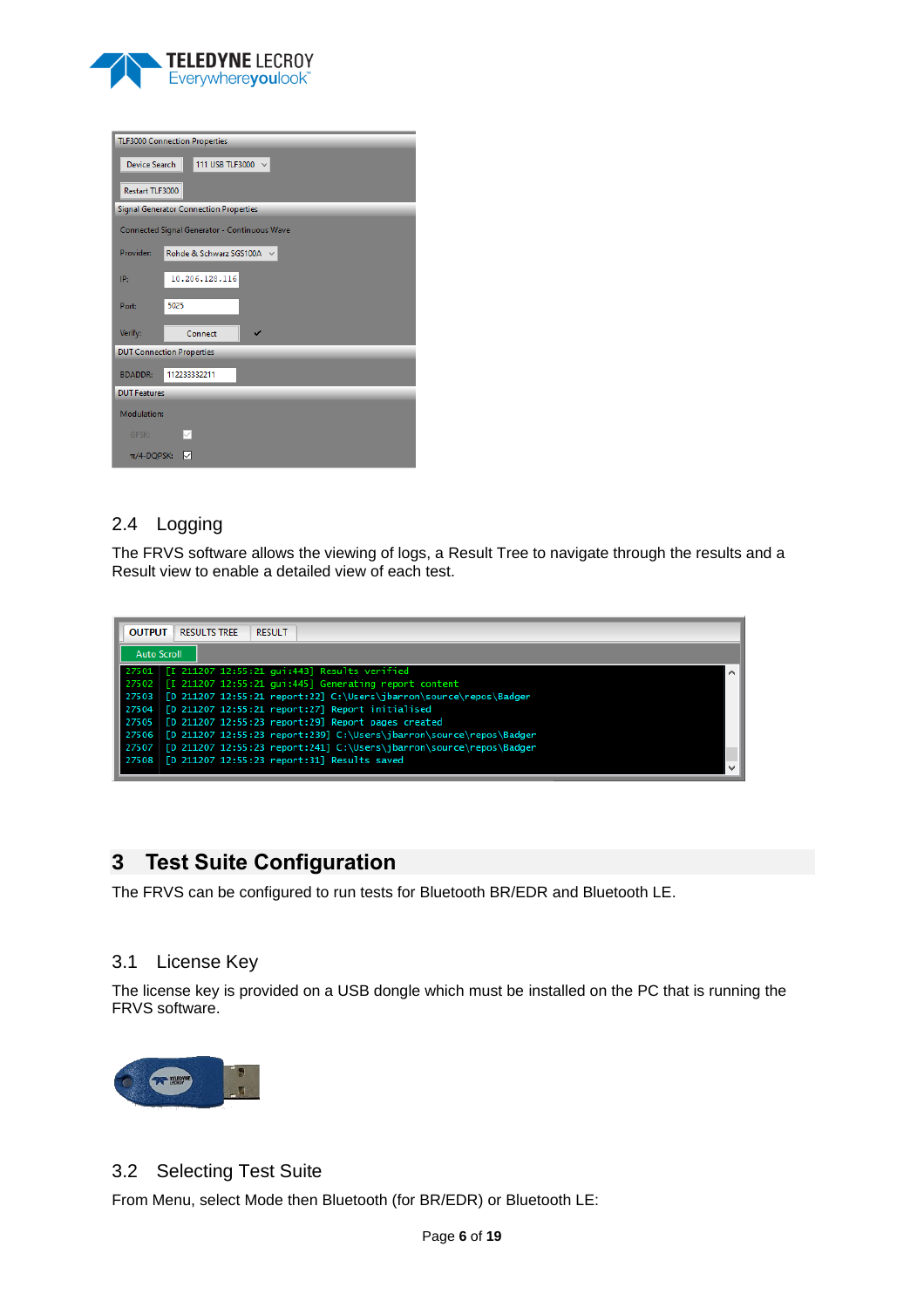

|                 | <b>TLF3000 Connection Properties</b>          |  |  |  |  |  |
|-----------------|-----------------------------------------------|--|--|--|--|--|
|                 |                                               |  |  |  |  |  |
| Device Search   | 111 USB TLF3000 ~                             |  |  |  |  |  |
| Restart TLF3000 |                                               |  |  |  |  |  |
|                 | <b>Signal Generator Connection Properties</b> |  |  |  |  |  |
|                 | Connected Signal Generator - Continuous Wave  |  |  |  |  |  |
| Provider:       | Rohde & Schwarz SGS100A $\sim$                |  |  |  |  |  |
| IP:             | 10.206.128.116                                |  |  |  |  |  |
| Port:           | 5025                                          |  |  |  |  |  |
| Verify:         | Connect<br>✓                                  |  |  |  |  |  |
|                 | <b>DUT Connection Properties</b>              |  |  |  |  |  |
| <b>BDADDR:</b>  | 112233332211                                  |  |  |  |  |  |
|                 | <b>DUT Features</b>                           |  |  |  |  |  |
| Modulation:     |                                               |  |  |  |  |  |
| <b>GFSK:</b>    |                                               |  |  |  |  |  |
| $\pi$ /4-DQPSK: | ∨                                             |  |  |  |  |  |

## <span id="page-5-0"></span>2.4 Logging

The FRVS software allows the viewing of logs, a Result Tree to navigate through the results and a Result view to enable a detailed view of each test.

|                    | <b>RESULTS TREE</b><br><b>RESULT</b><br><b>OUTPUT</b>               |                          |  |  |  |  |
|--------------------|---------------------------------------------------------------------|--------------------------|--|--|--|--|
| <b>Auto Scroll</b> |                                                                     |                          |  |  |  |  |
|                    | 27501   [I 211207 12:55:21 gui:443] Results verified                |                          |  |  |  |  |
| 27502              | $[I 211207 12:55:21$ gui:445] Generating report content             |                          |  |  |  |  |
| 27503              | [D 211207 12:55:21 report:22] C:\Users\jbarron\source\repos\Badger  |                          |  |  |  |  |
| 27504              | [D 211207 12:55:21 report:27] Report initialised                    |                          |  |  |  |  |
| 27505              | [D 211207 12:55:23 report:29] Report pages created                  |                          |  |  |  |  |
| 27506              | [D 211207 12:55:23 report:239] C:\Users\jbarron\source\repos\Badger |                          |  |  |  |  |
| 27507              | [D 211207 12:55:23 report:241] C:\Users\jbarron\source\repos\Badger |                          |  |  |  |  |
| 27508              | [D 211207 12:55:23 report:31] Results saved                         | $\overline{\phantom{a}}$ |  |  |  |  |

# <span id="page-5-1"></span>**3 Test Suite Configuration**

The FRVS can be configured to run tests for Bluetooth BR/EDR and Bluetooth LE.

## <span id="page-5-2"></span>3.1 License Key

The license key is provided on a USB dongle which must be installed on the PC that is running the FRVS software.



## <span id="page-5-3"></span>3.2 Selecting Test Suite

From Menu, select Mode then Bluetooth (for BR/EDR) or Bluetooth LE: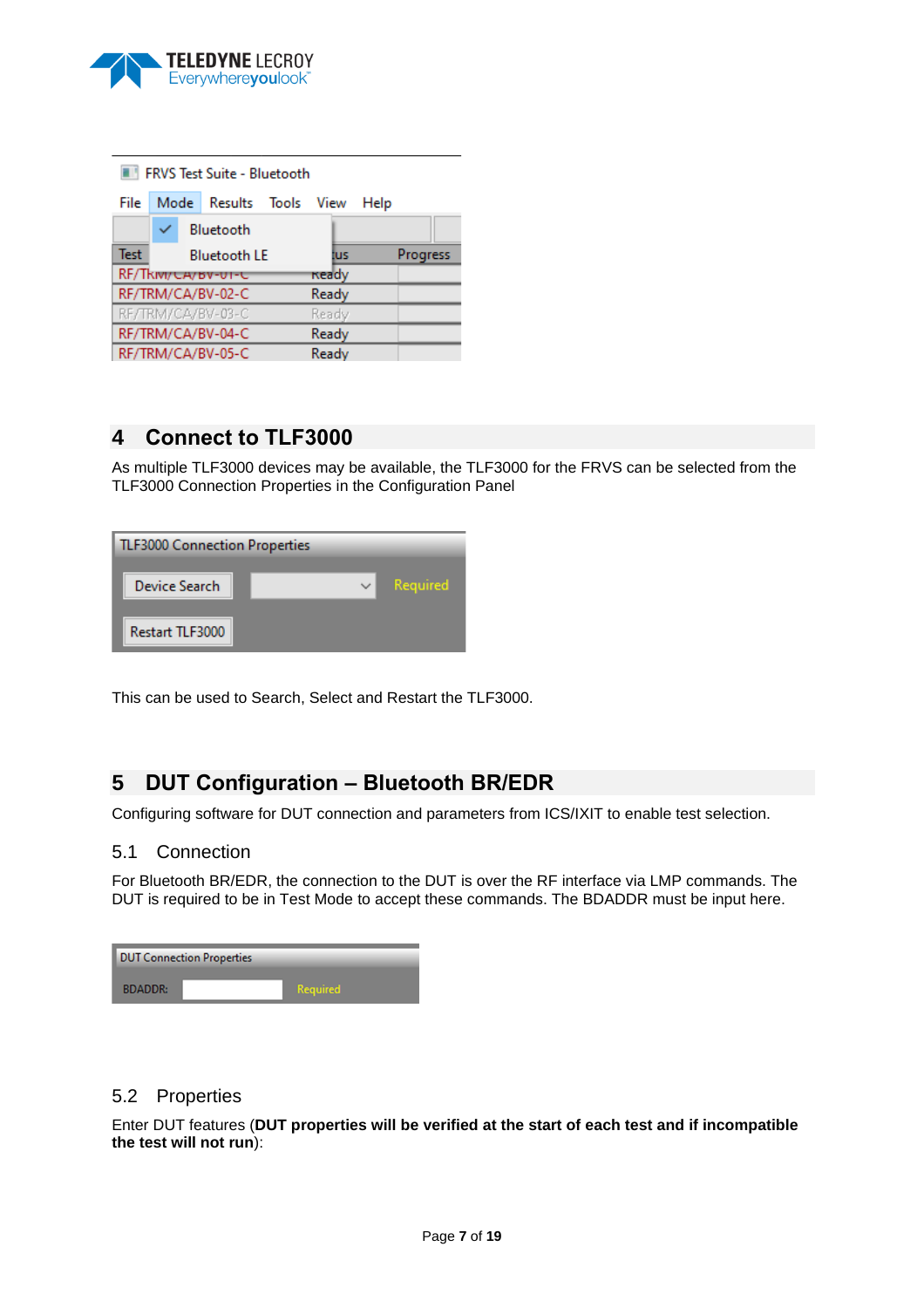

|             | FRVS Test Suite - Bluetooth |                     |  |              |      |          |  |
|-------------|-----------------------------|---------------------|--|--------------|------|----------|--|
| File        | Mode                        | Results Tools View  |  |              | Help |          |  |
|             |                             | Bluetooth           |  |              |      |          |  |
| <b>Test</b> |                             | <b>Bluetooth LE</b> |  | tus          |      | Progress |  |
|             | RF/Tkivi/CA/BV-UI-C         |                     |  | <b>Ready</b> |      |          |  |
|             | RF/TRM/CA/BV-02-C           |                     |  | Ready        |      |          |  |
|             | RF/TRM/CA/BV-03-C           |                     |  | Ready        |      |          |  |
|             | RF/TRM/CA/BV-04-C<br>Ready  |                     |  |              |      |          |  |
|             | RF/TRM/CA/BV-05-C           |                     |  |              |      |          |  |

# <span id="page-6-0"></span>**4 Connect to TLF3000**

As multiple TLF3000 devices may be available, the TLF3000 for the FRVS can be selected from the TLF3000 Connection Properties in the Configuration Panel

| <b>TLF3000 Connection Properties</b> |  |  |          |  |  |
|--------------------------------------|--|--|----------|--|--|
| Device Search                        |  |  | Required |  |  |
| Restart TLF3000                      |  |  |          |  |  |

This can be used to Search, Select and Restart the TLF3000.

# <span id="page-6-1"></span>**5 DUT Configuration – Bluetooth BR/EDR**

Configuring software for DUT connection and parameters from ICS/IXIT to enable test selection.

## <span id="page-6-2"></span>5.1 Connection

For Bluetooth BR/EDR, the connection to the DUT is over the RF interface via LMP commands. The DUT is required to be in Test Mode to accept these commands. The BDADDR must be input here.

|                | <b>DUT Connection Properties</b> |                 |  |
|----------------|----------------------------------|-----------------|--|
| <b>BDADDR:</b> |                                  | <b>Required</b> |  |

## <span id="page-6-3"></span>5.2 Properties

Enter DUT features (**DUT properties will be verified at the start of each test and if incompatible the test will not run**):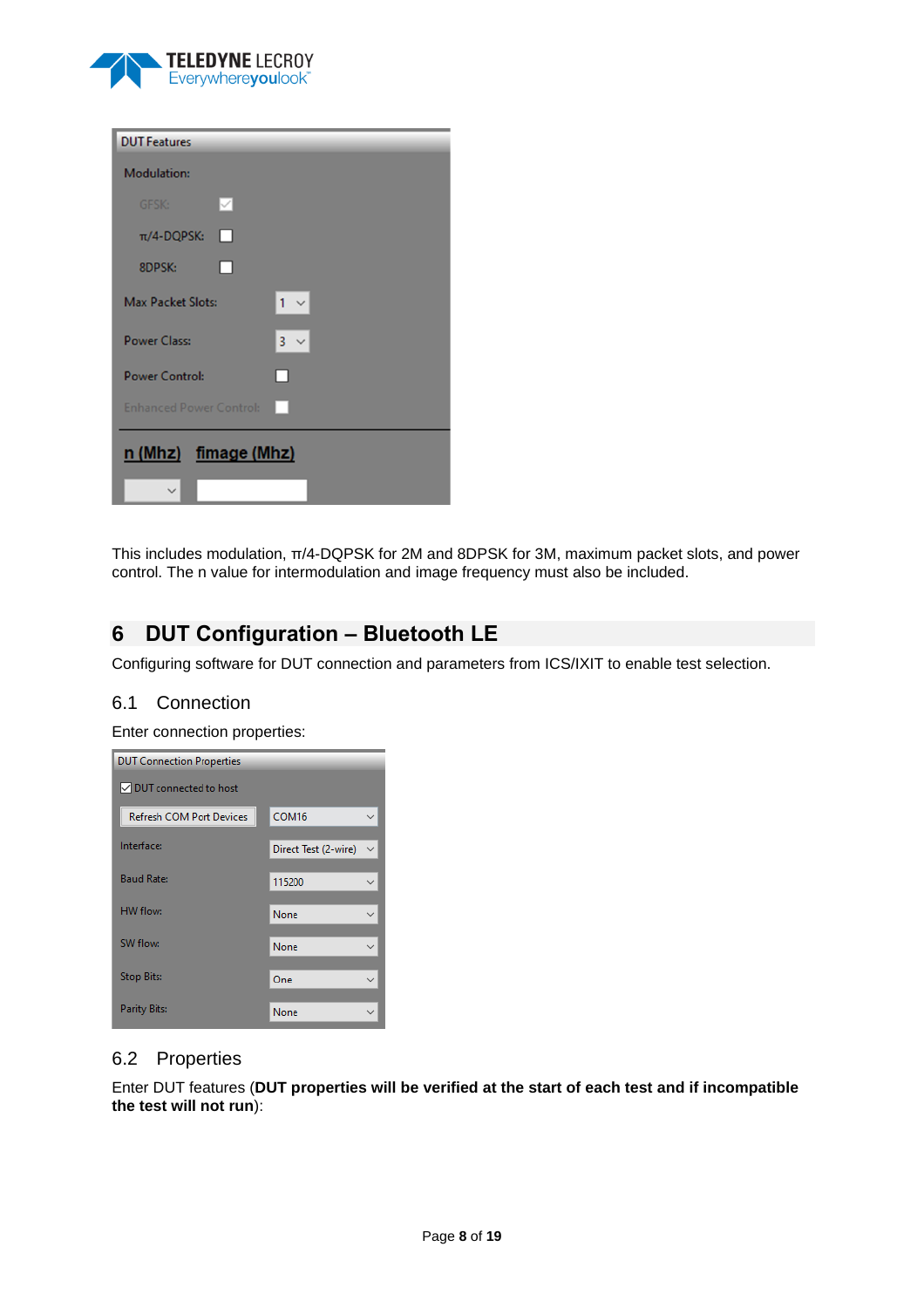

| <b>DUT Features</b>            |                          |
|--------------------------------|--------------------------|
| <b>Modulation:</b>             |                          |
| $\vee$<br>GFSK:                |                          |
| $\pi$ /4-DQPSK:<br>П           |                          |
| П<br>8DPSK:                    |                          |
| <b>Max Packet Slots:</b>       | $1 -$                    |
| <b>Power Class:</b>            | $3 \times$               |
| <b>Power Control:</b>          | П                        |
| <b>Enhanced Power Control:</b> | $\overline{\phantom{a}}$ |
| n (Mhz) fimage (Mhz)           |                          |
|                                |                          |

This includes modulation, π/4-DQPSK for 2M and 8DPSK for 3M, maximum packet slots, and power control. The n value for intermodulation and image frequency must also be included.

# <span id="page-7-0"></span>**6 DUT Configuration – Bluetooth LE**

Configuring software for DUT connection and parameters from ICS/IXIT to enable test selection.

## <span id="page-7-1"></span>6.1 Connection

Enter connection properties:

| <b>DUT Connection Properties</b> |                      |  |  |  |  |
|----------------------------------|----------------------|--|--|--|--|
| <b>▽ DUT</b> connected to host   |                      |  |  |  |  |
| <b>Refresh COM Port Devices</b>  | COM <sub>16</sub>    |  |  |  |  |
| Interface:                       | Direct Test (2-wire) |  |  |  |  |
| <b>Baud Rate:</b>                | 115200               |  |  |  |  |
| HW flow:                         | None                 |  |  |  |  |
| SW flow:                         | None                 |  |  |  |  |
| <b>Stop Bits:</b>                | One                  |  |  |  |  |
| <b>Parity Bits:</b>              | None                 |  |  |  |  |

## <span id="page-7-2"></span>6.2 Properties

Enter DUT features (**DUT properties will be verified at the start of each test and if incompatible the test will not run**):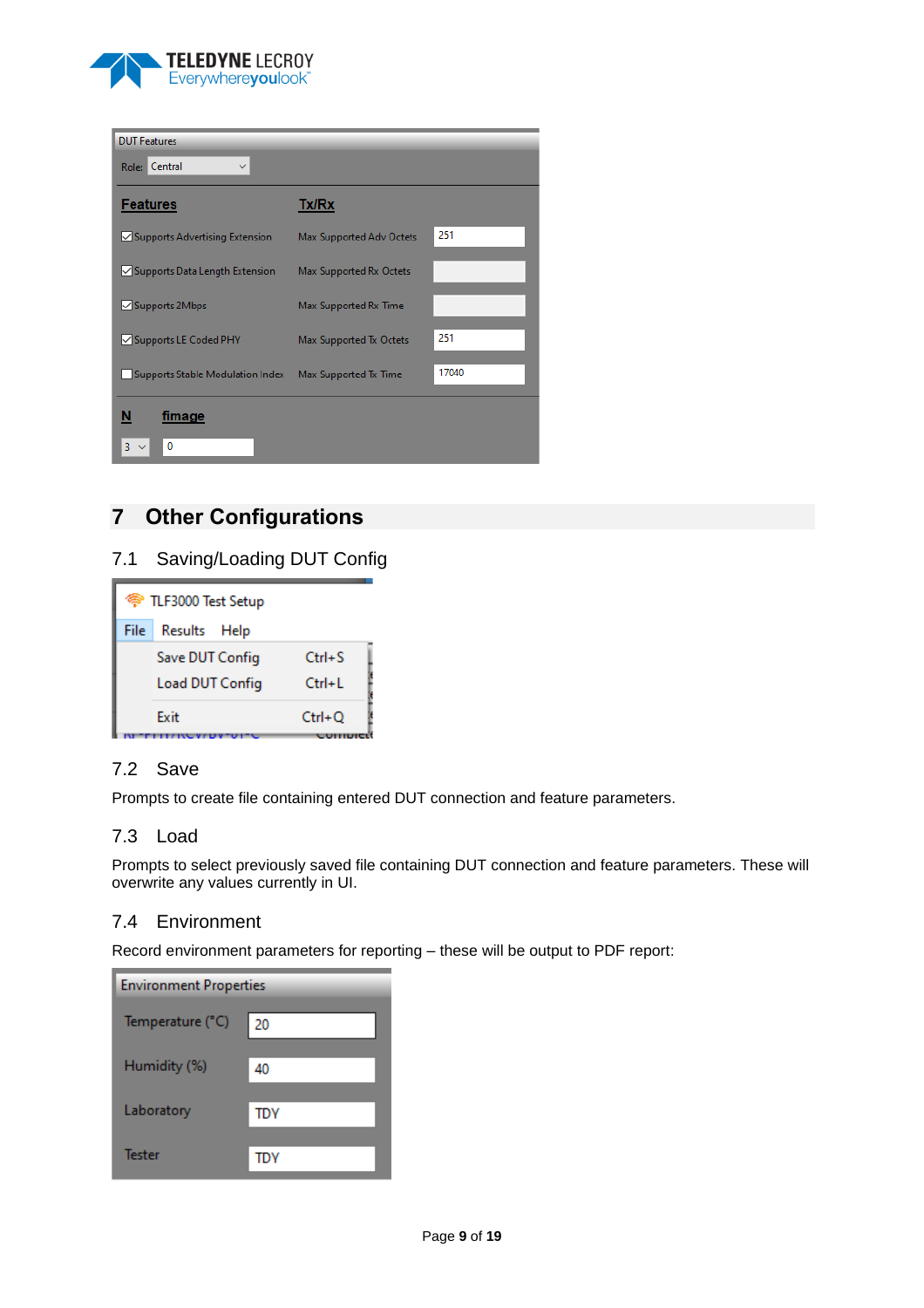

| <b>DUT Features</b>                   |                          |       |
|---------------------------------------|--------------------------|-------|
| Role: Central<br>$\checkmark$         |                          |       |
| <b>Features</b>                       | Tx/Rx                    |       |
| $\vee$ Supports Advertising Extension | Max Supported Adv Octets | 251   |
| $\vee$ Supports Data Length Extension | Max Supported Rx Octets  |       |
| √ Supports 2Mbps                      | Max Supported Rx Time    |       |
| <b>√ Supports LE Coded PHY</b>        | Max Supported Tx Octets  | 251   |
| Supports Stable Modulation Index      | Max Supported Tx Time    | 17040 |
| fimage                                |                          |       |
| 3<br>n                                |                          |       |

# <span id="page-8-0"></span>**7 Other Configurations**

## <span id="page-8-1"></span>7.1 Saving/Loading DUT Config

|      | <sup> TLF3000 Test Setup</sup> |            |  |  |
|------|--------------------------------|------------|--|--|
| File | Results Help                   |            |  |  |
|      | Save DUT Config                | $Ctrl + S$ |  |  |
|      | Load DUT Config                | $Ctrl + L$ |  |  |
|      | Exit                           | $Ctrl + Q$ |  |  |
|      |                                |            |  |  |

## <span id="page-8-2"></span>7.2 Save

Prompts to create file containing entered DUT connection and feature parameters.

## <span id="page-8-3"></span>7.3 Load

Prompts to select previously saved file containing DUT connection and feature parameters. These will overwrite any values currently in UI.

#### <span id="page-8-4"></span>7.4 Environment

Record environment parameters for reporting – these will be output to PDF report:

| <b>Environment Properties</b> |            |  |  |  |
|-------------------------------|------------|--|--|--|
| Temperature (°C)              | 20         |  |  |  |
| Humidity (%)                  | 40         |  |  |  |
| Laboratory                    | <b>TDY</b> |  |  |  |
| Tester                        | TDY        |  |  |  |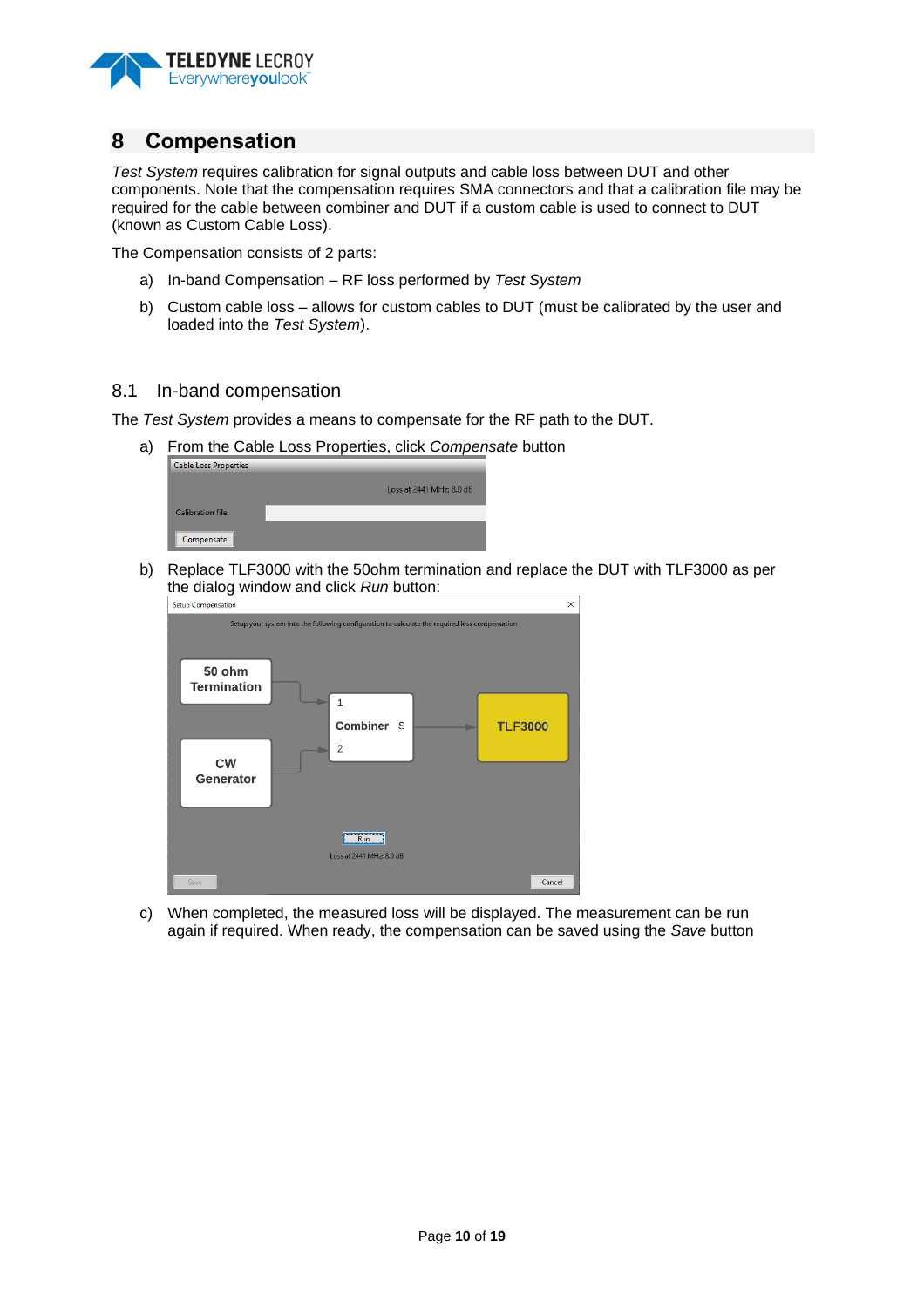

## <span id="page-9-0"></span>**8 Compensation**

*Test System* requires calibration for signal outputs and cable loss between DUT and other components. Note that the compensation requires SMA connectors and that a calibration file may be required for the cable between combiner and DUT if a custom cable is used to connect to DUT (known as Custom Cable Loss).

The Compensation consists of 2 parts:

- a) In-band Compensation RF loss performed by *Test System*
- b) Custom cable loss allows for custom cables to DUT (must be calibrated by the user and loaded into the *Test System*).

#### <span id="page-9-1"></span>8.1 In-band compensation

The *Test System* provides a means to compensate for the RF path to the DUT.

a) From the Cable Loss Properties, click *Compensate* button

| <b>Cable Loss Properties</b> |                          |
|------------------------------|--------------------------|
|                              | Loss at 2441 MHz: 8.0 dB |
| Calibration file:            |                          |
| Compensate                   |                          |

b) Replace TLF3000 with the 50ohm termination and replace the DUT with TLF3000 as per the dialog window and click *Run* button:



c) When completed, the measured loss will be displayed. The measurement can be run again if required. When ready, the compensation can be saved using the *Save* button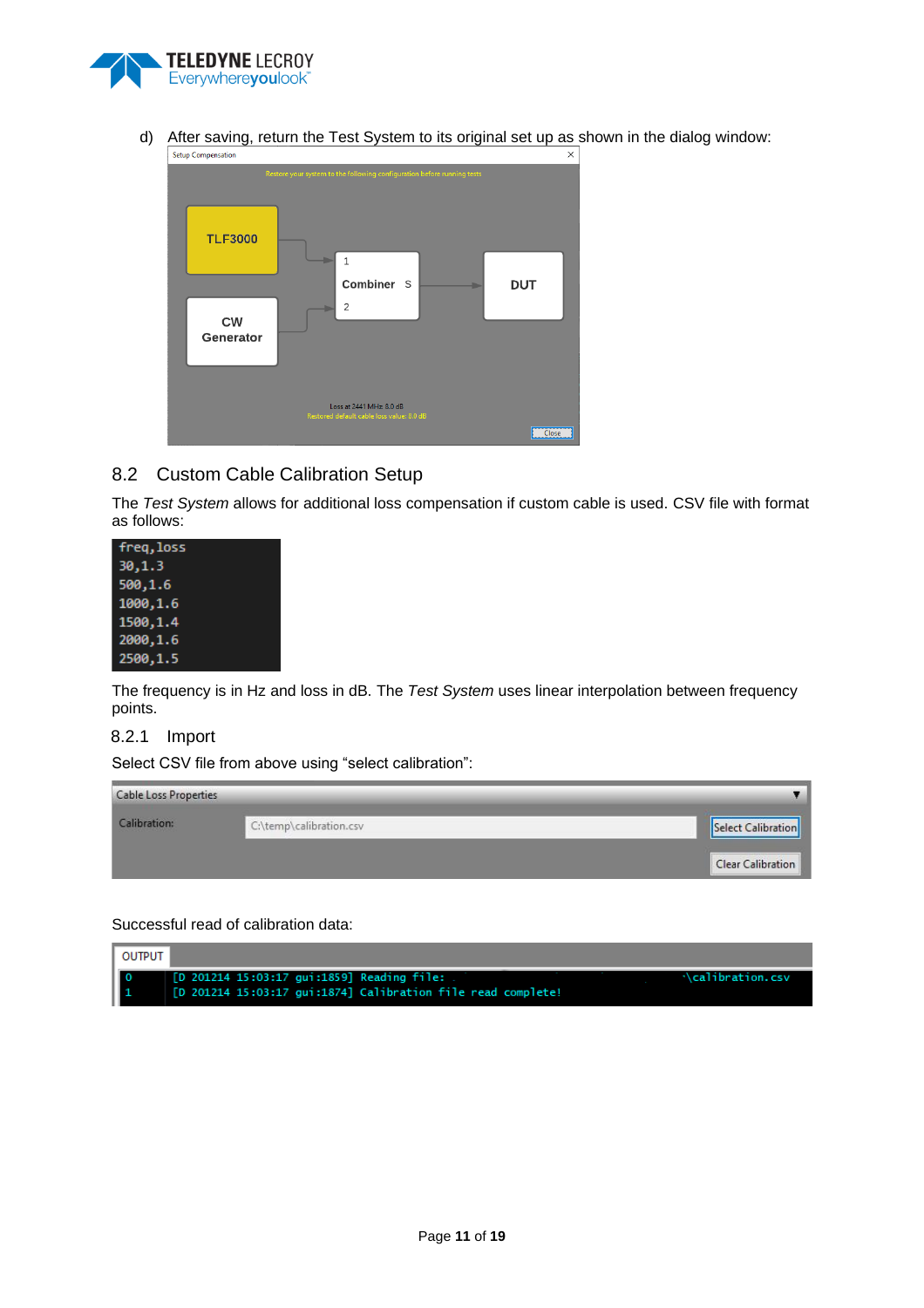

d) After saving, return the Test System to its original set up as shown in the dialog window:<br>  $\frac{1}{x}$ 



## <span id="page-10-0"></span>8.2 Custom Cable Calibration Setup

The *Test System* allows for additional loss compensation if custom cable is used. CSV file with format as follows:

| freg, loss |
|------------|
| 30, 1.3    |
| 500,1.6    |
| 1000,1.6   |
| 1500, 1.4  |
| 2000, 1.6  |
| 2500,1.5   |

The frequency is in Hz and loss in dB. The *Test System* uses linear interpolation between frequency points.

#### <span id="page-10-1"></span>8.2.1 Import

Select CSV file from above using "select calibration":

| <b>Cable Loss Properties</b> |                         |                    |
|------------------------------|-------------------------|--------------------|
| Calibration:                 | C:\temp\calibration.csv | Select Calibration |
|                              |                         | Clear Calibration  |

Successful read of calibration data:

| I output |                                                              |                   |
|----------|--------------------------------------------------------------|-------------------|
| Шο       | [D 201214 15:03:17 gui:1859] Reading file:                   | .\calibration.csv |
|          | [D 201214 15:03:17 qui:1874] Calibration file read complete! |                   |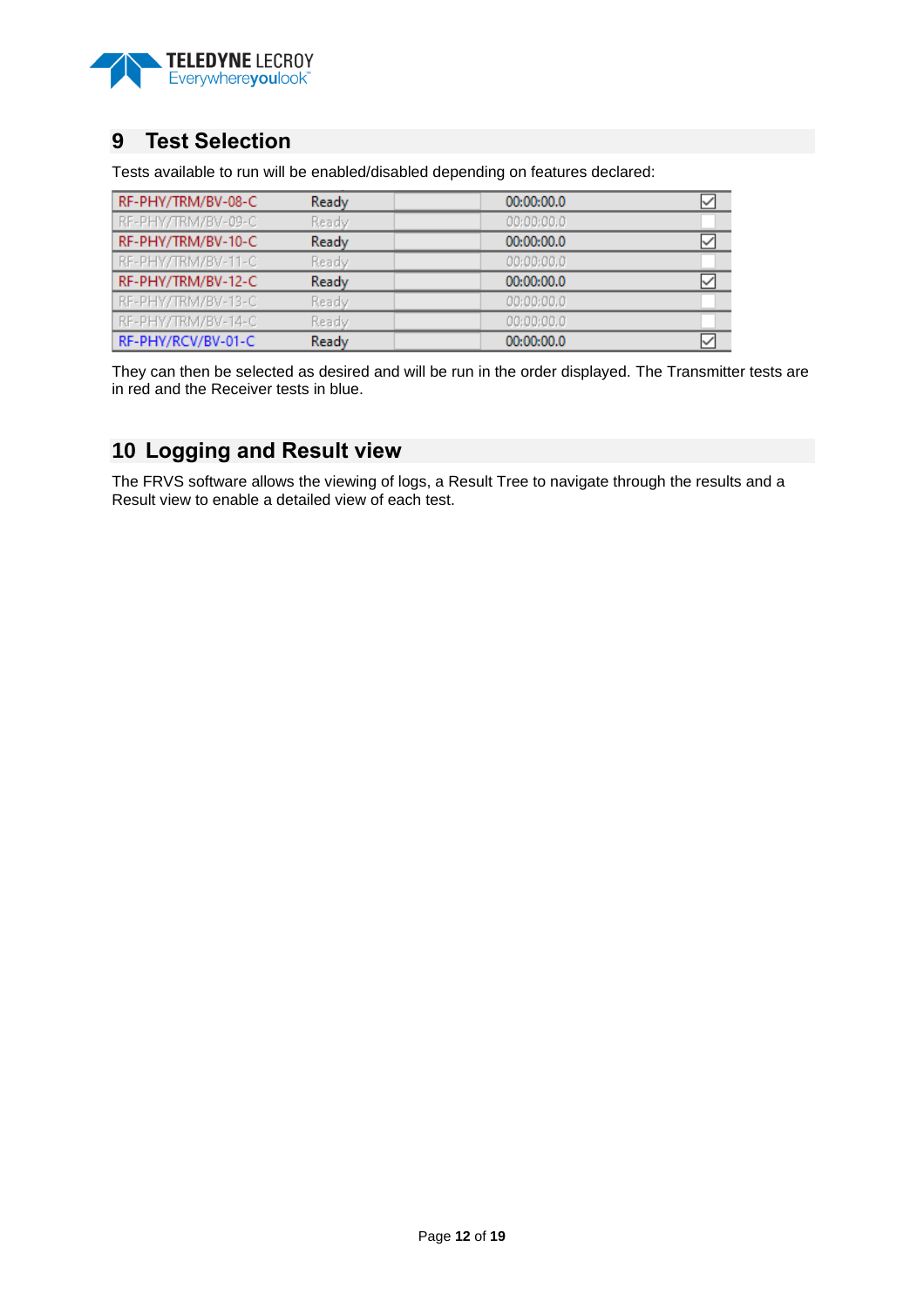

## <span id="page-11-0"></span>**9 Test Selection**

Tests available to run will be enabled/disabled depending on features declared:

| RF-PHY/TRM/BV-08-C | Ready | 00:00:00.0 | ⊻ |
|--------------------|-------|------------|---|
| RF-PHY/TRM/BV-09-C | Ready | 00:00:00.0 |   |
| RF-PHY/TRM/BV-10-C | Ready | 00:00:00.0 | ⋈ |
| RF-PHY/TRM/BV-11-C | Ready | 00:00:00.0 |   |
|                    |       |            |   |
| RF-PHY/TRM/BV-12-C | Ready | 00:00:00.0 | ∨ |
| RF-PHY/TRM/BV-13-C | Ready | 00:00:00.0 |   |
| RF-PHY/TRM/BV-14-C | Ready | 00:00:00.0 |   |

They can then be selected as desired and will be run in the order displayed. The Transmitter tests are in red and the Receiver tests in blue.

## <span id="page-11-1"></span>**10 Logging and Result view**

The FRVS software allows the viewing of logs, a Result Tree to navigate through the results and a Result view to enable a detailed view of each test.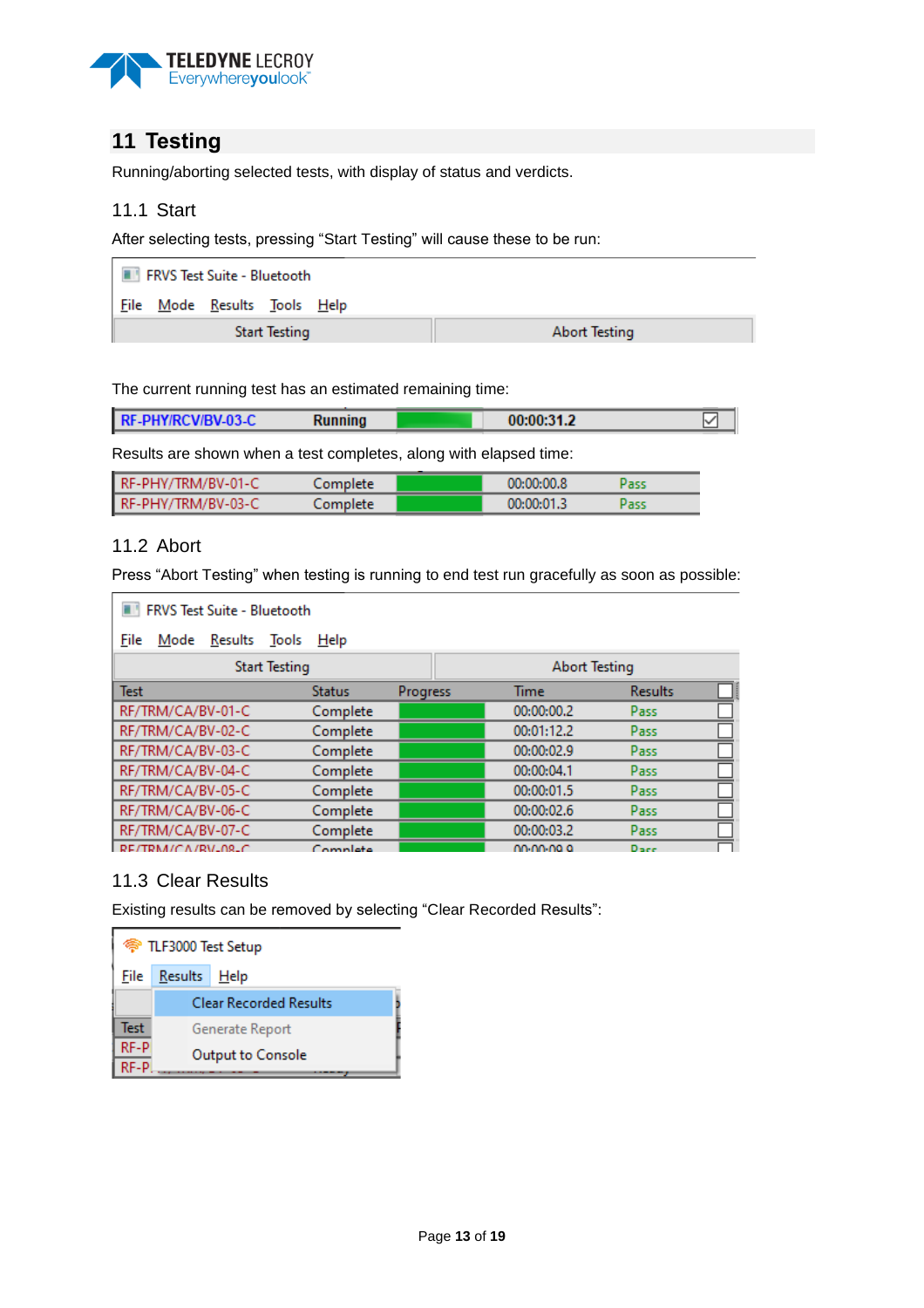

# <span id="page-12-0"></span>**11 Testing**

Running/aborting selected tests, with display of status and verdicts.

#### <span id="page-12-1"></span>11.1 Start

After selecting tests, pressing "Start Testing" will cause these to be run:

| <b>EXAMPLE 19 FRVS Test Suite - Bluetooth</b> |  |                              |  |  |
|-----------------------------------------------|--|------------------------------|--|--|
|                                               |  | File Mode Results Tools Help |  |  |
| <b>Start Testing</b>                          |  | Abort Testing                |  |  |

The current running test has an estimated remaining time:

| <b>RF-PHY/RCV/BV-03-C</b><br>Running |            |  |
|--------------------------------------|------------|--|
|                                      | 00:00:31.2 |  |

Results are shown when a test completes, along with elapsed time:

| RF-PHY/TRM/BV-01-C | Complete | 00:00:00.8 |  |
|--------------------|----------|------------|--|
| RF-PHY/TRM/BV-03-C | Complete | 00:00:01.3 |  |

## <span id="page-12-2"></span>11.2 Abort

Press "Abort Testing" when testing is running to end test run gracefully as soon as possible:

| <b>FRVS Test Suite - Bluetooth</b> |               |          |                      |                |   |
|------------------------------------|---------------|----------|----------------------|----------------|---|
| Results Tools<br>File<br>Mode      | Help          |          |                      |                |   |
| <b>Start Testing</b>               |               |          | <b>Abort Testing</b> |                |   |
| <b>Test</b>                        | <b>Status</b> | Progress | Time                 | <b>Results</b> | B |
| RF/TRM/CA/BV-01-C                  | Complete      |          | 00:00:00.2           | Pass           |   |
| RF/TRM/CA/BV-02-C                  | Complete      |          | 00:01:12.2           | Pass           |   |
| RF/TRM/CA/BV-03-C                  | Complete      |          | 00:00:02.9           | Pass           |   |
| RF/TRM/CA/BV-04-C                  | Complete      |          | 00:00:04.1           | Pass           |   |
| RF/TRM/CA/BV-05-C                  | Complete      |          | 00:00:01.5           | Pass           |   |
| RF/TRM/CA/BV-06-C                  | Complete      |          | 00:00:02.6           | Pass           |   |
| RF/TRM/CA/BV-07-C                  | Complete      |          | 00:00:03.2           | <b>Pass</b>    |   |
| RE/TRM/CA/RV-08-C                  | Complete      |          | 00.00.00.0           | $D = \epsilon$ |   |

## <span id="page-12-3"></span>11.3 Clear Results

Existing results can be removed by selecting "Clear Recorded Results":

|      | <sup>令</sup> TLF3000 Test Setup |  |  |  |
|------|---------------------------------|--|--|--|
|      | File Results Help               |  |  |  |
|      | <b>Clear Recorded Results</b>   |  |  |  |
| Test | Generate Report                 |  |  |  |
| RF-P | <b>Output to Console</b>        |  |  |  |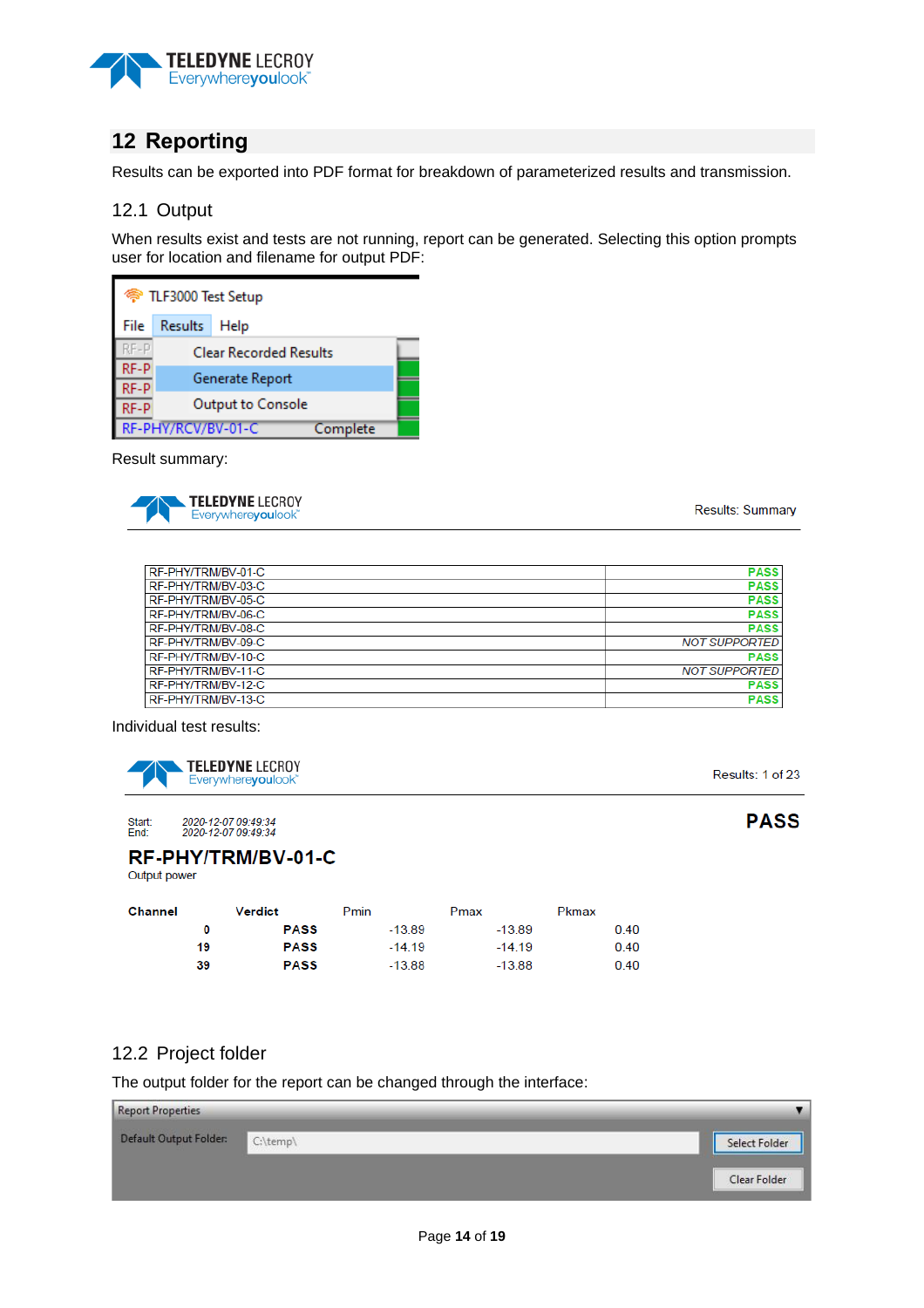

# <span id="page-13-0"></span>**12 Reporting**

Results can be exported into PDF format for breakdown of parameterized results and transmission.

#### <span id="page-13-1"></span>12.1 Output

When results exist and tests are not running, report can be generated. Selecting this option prompts user for location and filename for output PDF:

| <sup> TLF3000 Test Setup</sup> |                               |  |  |  |  |  |
|--------------------------------|-------------------------------|--|--|--|--|--|
| File                           | Results Help                  |  |  |  |  |  |
| RF-P                           | <b>Clear Recorded Results</b> |  |  |  |  |  |
| RF-P<br>RF-P                   | Generate Report               |  |  |  |  |  |
| RF-P                           | Output to Console             |  |  |  |  |  |
| RF-PHY/RCV/BV-01-C<br>Complete |                               |  |  |  |  |  |

Result summary:



Results: Summary

| RF-PHY/TRM/BV-01-C | <b>PASS</b>          |
|--------------------|----------------------|
| RF-PHY/TRM/BV-03-C | <b>PASS</b>          |
| RF-PHY/TRM/BV-05-C | <b>PASS</b>          |
| RF-PHY/TRM/BV-06-C | <b>PASS</b>          |
| RF-PHY/TRM/BV-08-C | <b>PASS</b>          |
| RF-PHY/TRM/BV-09-C | <b>NOT SUPPORTED</b> |
| RF-PHY/TRM/BV-10-C | <b>PASS</b>          |
| RF-PHY/TRM/BV-11-C | <b>NOT SUPPORTED</b> |
| RF-PHY/TRM/BV-12-C | <b>PASS</b>          |
| RF-PHY/TRM/BV-13-C | <b>PASS</b>          |

Individual test results:



Results: 1 of 23

**PASS** 

#### 2020-12-07 09:49:34<br>2020-12-07 09:49:34 Start:<br>End:

RF-PHY/TRM/BV-01-C Output power

| <b>Channel</b> |    | <b>Verdict</b> | Pmin     | Pmax     | Pkmax |
|----------------|----|----------------|----------|----------|-------|
|                | 0  | <b>PASS</b>    | $-13.89$ | $-13.89$ | 0.40  |
|                | 19 | <b>PASS</b>    | $-14.19$ | $-14.19$ | 0.40  |
|                | 39 | <b>PASS</b>    | $-13.88$ | $-13.88$ | 0.40  |

## <span id="page-13-2"></span>12.2 Project folder

The output folder for the report can be changed through the interface:

| <b>Report Properties</b> |          |               |
|--------------------------|----------|---------------|
| Default Output Folder:   | C:\temp\ | Select Folder |
|                          |          | Clear Folder  |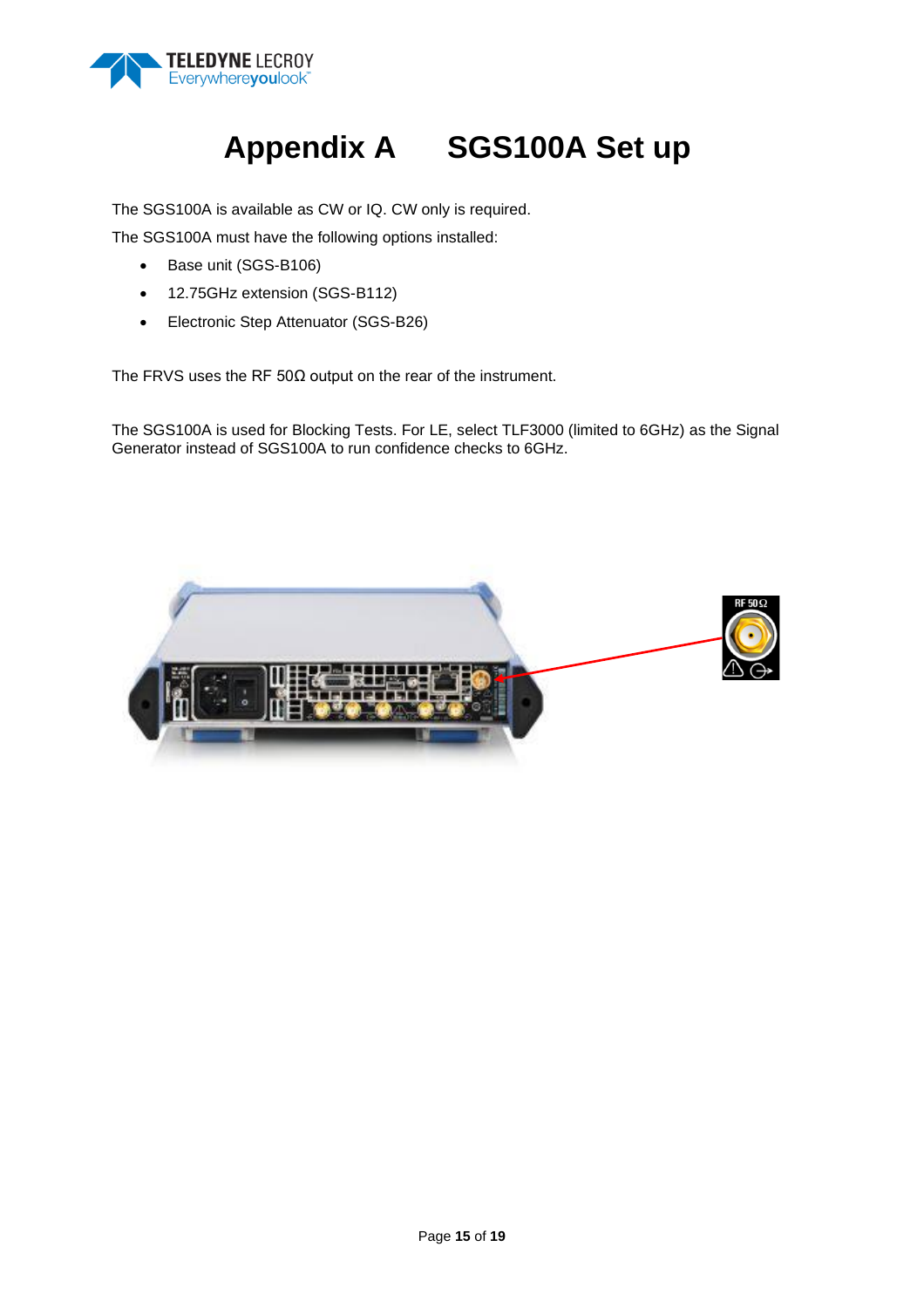

# **Appendix A SGS100A Set up**

<span id="page-14-0"></span>The SGS100A is available as CW or IQ. CW only is required.

The SGS100A must have the following options installed:

- Base unit (SGS-B106)
- 12.75GHz extension (SGS-B112)
- Electronic Step Attenuator (SGS-B26)

The FRVS uses the RF 50Ω output on the rear of the instrument.

The SGS100A is used for Blocking Tests. For LE, select TLF3000 (limited to 6GHz) as the Signal Generator instead of SGS100A to run confidence checks to 6GHz.

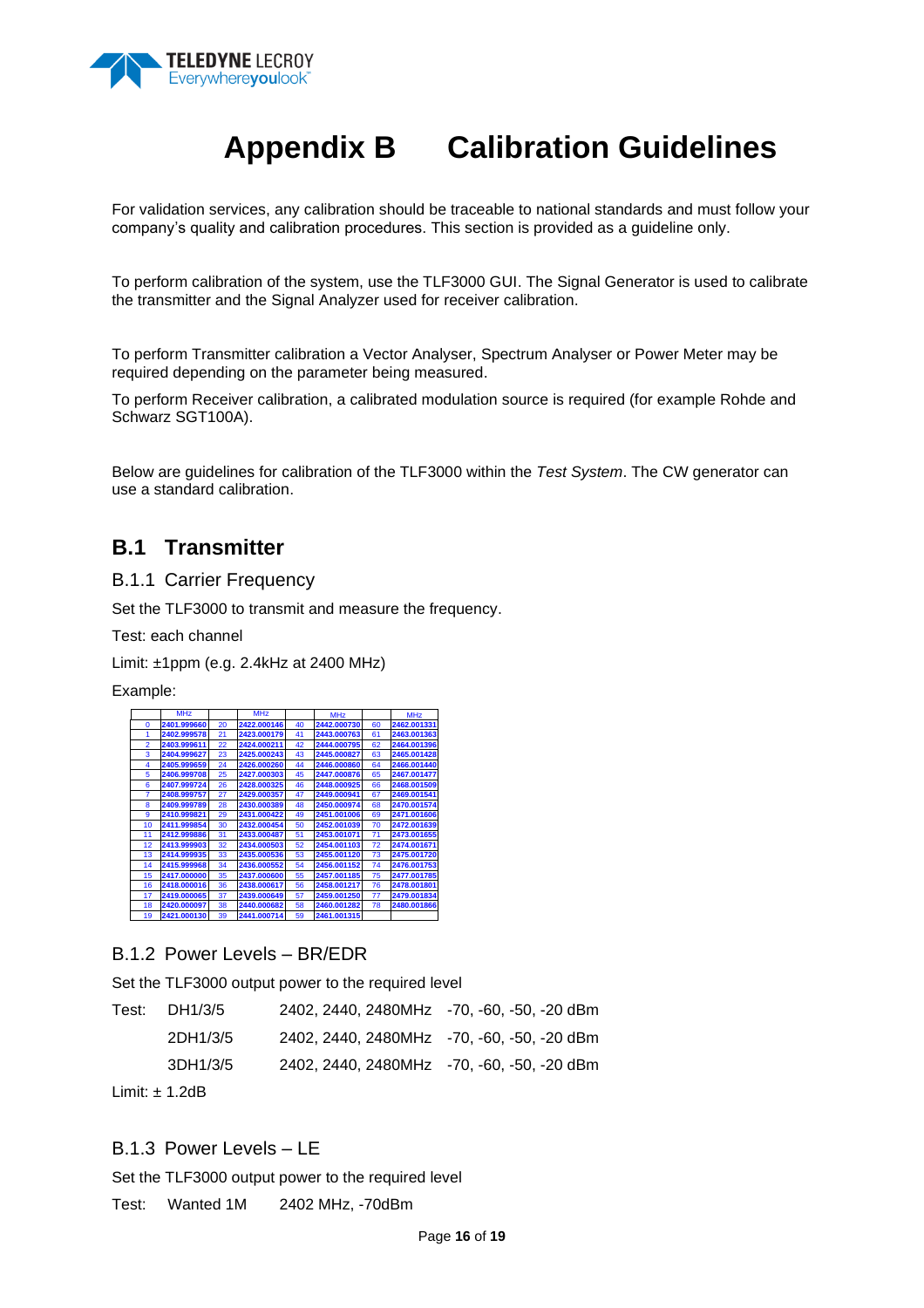

# **Appendix B Calibration Guidelines**

<span id="page-15-0"></span>For validation services, any calibration should be traceable to national standards and must follow your company's quality and calibration procedures. This section is provided as a guideline only.

To perform calibration of the system, use the TLF3000 GUI. The Signal Generator is used to calibrate the transmitter and the Signal Analyzer used for receiver calibration.

To perform Transmitter calibration a Vector Analyser, Spectrum Analyser or Power Meter may be required depending on the parameter being measured.

To perform Receiver calibration, a calibrated modulation source is required (for example Rohde and Schwarz SGT100A).

Below are guidelines for calibration of the TLF3000 within the *Test System*. The CW generator can use a standard calibration.

## **B.1 Transmitter**

B.1.1 Carrier Frequency

Set the TLF3000 to transmit and measure the frequency.

Test: each channel

Limit: ±1ppm (e.g. 2.4kHz at 2400 MHz)

Example:

|                         | <b>MHz</b>                 |          | <b>MHz</b>                 |          | <b>MHz</b>                                 |          | <b>MHz</b>                                      |
|-------------------------|----------------------------|----------|----------------------------|----------|--------------------------------------------|----------|-------------------------------------------------|
| 0                       | 2401.999660                | 20       | 2422.000146                | 40       | 2442.000730                                | 60       | 2462.001331                                     |
| 1                       | 2402.999578                | 21       | 2423.000179                | 41       | 2443.000763                                | 61       | 2463.001363                                     |
| $\overline{2}$          | 2403.999611                | 22       | 2424.000211                | 42       | 2444.000795                                | 62       | 2464.001396                                     |
| 3                       | 2404.999627                | 23       | 2425.000243                | 43       | 2445.000827                                | 63       | 2465.001428                                     |
| 4                       | 2405.999659                | 24       | 2426.000260                | 44       | 2446.000860                                | 64       | 2466.001440                                     |
| 5                       | 2406.999708                | 25       | 2427.000303                | 45       | 2447.000876                                | 65       | 2467.001477                                     |
| 6                       | 2407.999724                | 26       | 2428.000325                | 46       | 2448.000925                                | 66       | <b>2468.001509</b>                              |
| 7                       | 2408.999757                | 27       | 2429.000357                | 47       | 2449.000941                                | 67       | 2469.001541                                     |
| 8                       | 2409.999789                | 28       | 2430.000389                | 48       | 2450.000974                                | 68       | 2470.001574                                     |
| 9                       | 2410.999821                | 29       | 2431.000422                | 49       | 2451.001006                                | 69       | 2471.001606                                     |
| 10                      | 2411.999854                | 30       | 2432.000454                | 50       | 2452.001039                                | 70       | 2472.001639                                     |
| 11                      | 2412.999886                | 31       | 2433.000487                | 51       | 2453.001071                                | 71       | 2473.001655                                     |
| 12                      | 2413.999903                | 32       | 2434.000503                | 52       | 2454.001103                                | 72       | 2474.001671                                     |
| 13                      | 2414.999935                | 33       | 2435.000536                | 53       | 2455.001120                                | 73       | 2475.001720                                     |
| 14                      | 2415.999968                | 34       | 2436.000552                | 54       | 2456.001152                                | 74       | 2476.001753                                     |
| 15                      | 2417.000000<br>2418.000016 | 35       | 2437.000600<br>2438.000617 | 55       | 2457.001185<br>2458.001217                 | 75       | 2477.001785                                     |
| 16<br>17                | 2419.000065                | 36<br>37 | 2439.000649                | 56<br>57 | 2459.001250                                | 76<br>77 | 2478.001801<br>2479.001834                      |
| 18                      | 2420.000097                | 38       | 2440.000682                | 58       | 2460.001282                                | 78       | 2480.001866                                     |
| 19                      | 2421.000130                | 39       | 2441.000714                | 59       | 2461.001315                                |          |                                                 |
| Test:                   | DH1/3/5<br>2DH1/3/5        |          |                            |          | 2402, 2440, 2480MHz<br>2402, 2440, 2480MHz |          | Set the TLF3000 output power to the required le |
|                         | 3DH1/3/5                   |          |                            |          | 2402, 2440, 2480MHz                        |          |                                                 |
|                         | Limit: ± 1.2dB             |          |                            |          |                                            |          |                                                 |
| B.1.3 Power Levels - LE |                            |          |                            |          |                                            |          |                                                 |
|                         |                            |          |                            |          |                                            |          | Set the TLF3000 output power to the required le |
| Test:                   | Wanted 1M                  |          |                            |          | 2402 MHz, -70dBm                           |          |                                                 |

Set the TLF3000 output power to the required level

| Test: $DH1/3/5$    | 2402, 2440, 2480MHz -70, -60, -50, -20 dBm |  |
|--------------------|--------------------------------------------|--|
| 2DH1/3/5           | 2402, 2440, 2480MHz -70, -60, -50, -20 dBm |  |
| 3DH1/3/5           | 2402, 2440, 2480MHz -70, -60, -50, -20 dBm |  |
| Limit: $\pm$ 1.2dB |                                            |  |

## B.1.3 Power Levels – LE

Set the TLF3000 output power to the required level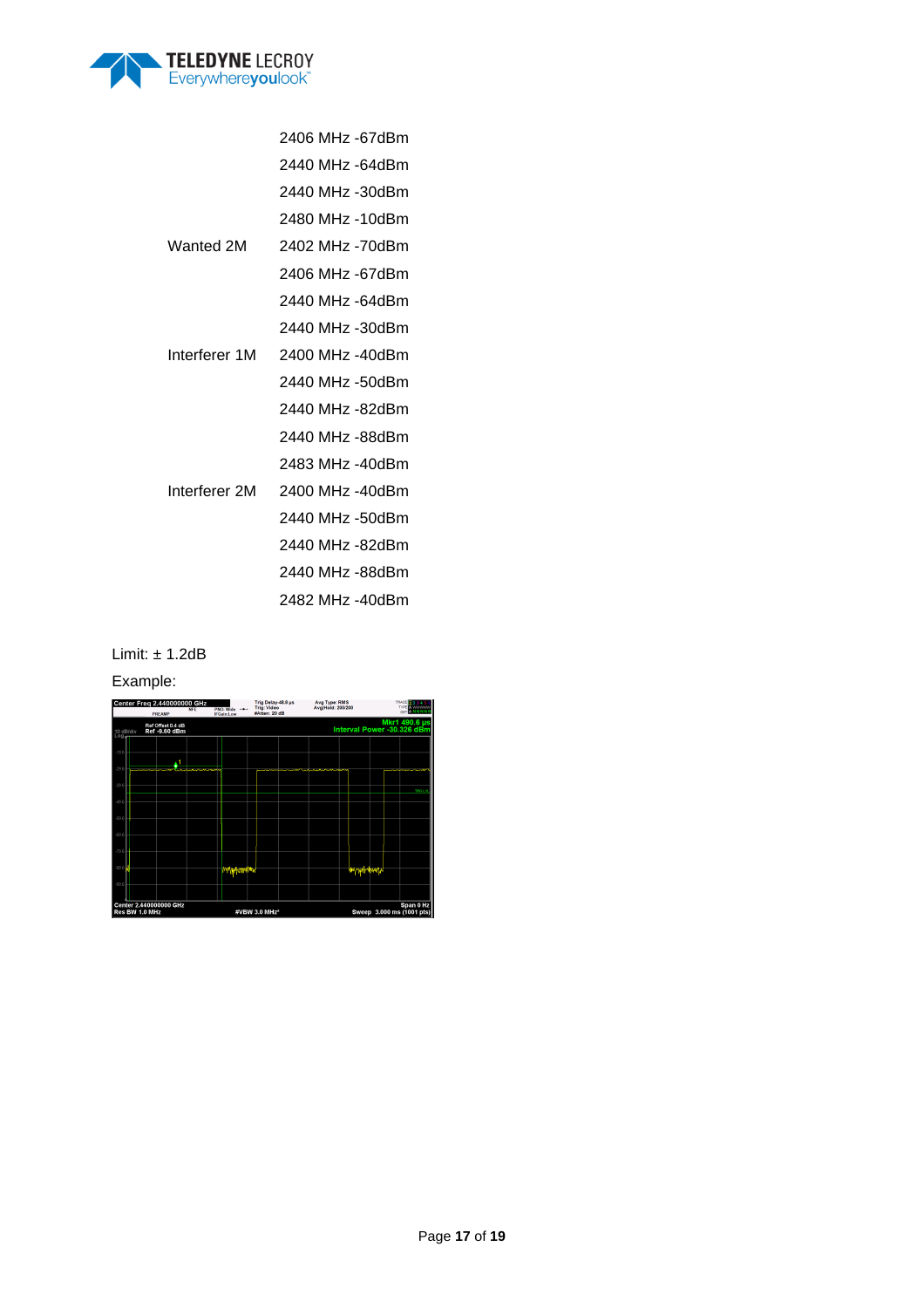

|               | 2406 MHz -67dBm |
|---------------|-----------------|
|               | 2440 MHz -64dBm |
|               | 2440 MHz -30dBm |
|               | 2480 MHz -10dBm |
| Wanted 2M     | 2402 MHz -70dBm |
|               | 2406 MHz -67dBm |
|               | 2440 MHz -64dBm |
|               | 2440 MHz -30dBm |
| Interferer 1M | 2400 MHz -40dBm |
|               | 2440 MHz -50dBm |
|               | 2440 MHz -82dBm |
|               | 2440 MHz -88dBm |
|               | 2483 MHz -40dBm |
| Interferer 2M | 2400 MHz -40dBm |
|               | 2440 MHz -50dBm |
|               | 2440 MHz -82dBm |
|               | 2440 MHz -88dBm |
|               | 2482 MHz -40dBm |

Limit: ± 1.2dB

Example:

|                  | Center Freg 2.440000000 GHz<br><b>PREAMP</b>                                                        | <b>NFE</b> | PNO: Wide -<br><b>IFGain:Low</b> | Trig Delay-48.8 us<br><b>Trig: Video</b><br>#Atten: 20 dB |  | Avg Type: RMS<br>Avg Hold: 200/200 | <b>TRAC</b><br><b>TYPE A WWWWW</b><br><b>DITA NNNN</b> |
|------------------|-----------------------------------------------------------------------------------------------------|------------|----------------------------------|-----------------------------------------------------------|--|------------------------------------|--------------------------------------------------------|
| 10 dB/div<br>Log | Ref Offset 0.4 dB<br>Ref -9.60 dBm                                                                  |            |                                  |                                                           |  |                                    | Mkr1 490.6 µs<br>Interval Power -30.326 dBm            |
| $-196$           |                                                                                                     |            |                                  |                                                           |  |                                    |                                                        |
| $-29.6$          |                                                                                                     |            |                                  |                                                           |  |                                    |                                                        |
| $-39.6$          |                                                                                                     |            |                                  |                                                           |  |                                    | TROG L'A                                               |
| $-49.6$          |                                                                                                     |            |                                  |                                                           |  |                                    |                                                        |
| -69.6            |                                                                                                     |            |                                  |                                                           |  |                                    |                                                        |
| $-69.6$          |                                                                                                     |            |                                  |                                                           |  |                                    |                                                        |
| .79.6            |                                                                                                     |            |                                  |                                                           |  |                                    |                                                        |
| $-89.6$          |                                                                                                     |            | <b>The Literature</b>            |                                                           |  |                                    |                                                        |
| .99.6            |                                                                                                     |            |                                  |                                                           |  |                                    |                                                        |
|                  | Center 2.440000000 GHz<br>Span 0 Hz<br>Sweep 3.000 ms (1001 pts)<br>Res BW 1.0 MHz<br>#VBW 3.0 MHz* |            |                                  |                                                           |  |                                    |                                                        |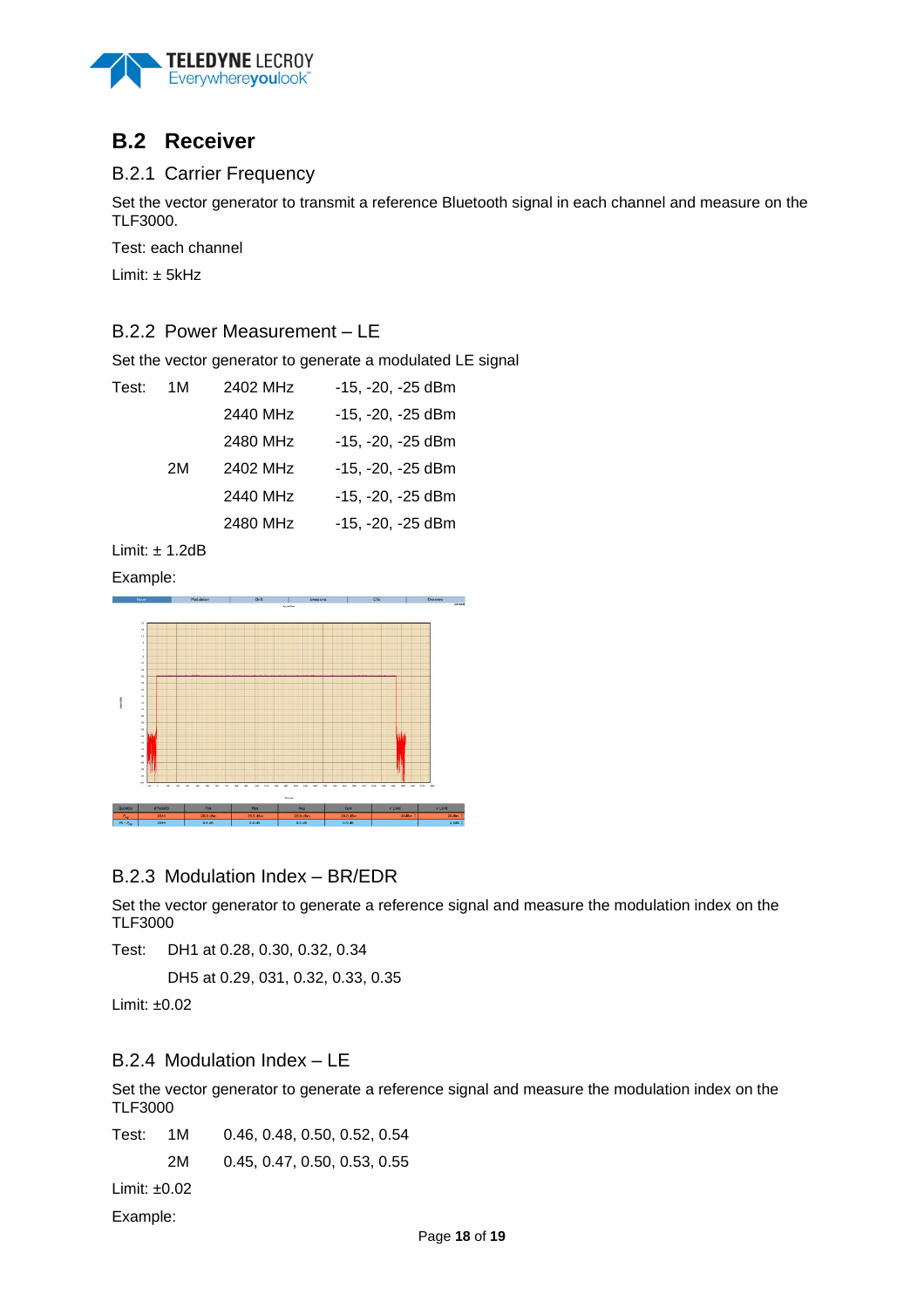

# **B.2 Receiver**

## B.2.1 Carrier Frequency

Set the vector generator to transmit a reference Bluetooth signal in each channel and measure on the TLF3000.

Test: each channel

Limit:  $\pm$  5kHz

## B.2.2 Power Measurement – LE

Set the vector generator to generate a modulated LE signal

| Test: | 1M | 2402 MHz | -15, -20, -25 dBm |
|-------|----|----------|-------------------|
|       |    | 2440 MHz | -15, -20, -25 dBm |
|       |    | 2480 MHz | -15, -20, -25 dBm |
|       | 2M | 2402 MHz | -15, -20, -25 dBm |
|       |    | 2440 MHz | -15, -20, -25 dBm |
|       |    | 2480 MHz | -15, -20, -25 dBm |
|       |    |          |                   |

Limit:  $\pm$  1.2dB

Example:



## B.2.3 Modulation Index – BR/EDR

Set the vector generator to generate a reference signal and measure the modulation index on the TLF3000

Test: DH1 at 0.28, 0.30, 0.32, 0.34

DH5 at 0.29, 031, 0.32, 0.33, 0.35

Limit: ±0.02

## B.2.4 Modulation Index – LE

Set the vector generator to generate a reference signal and measure the modulation index on the TLF3000

Test: 1M 0.46, 0.48, 0.50, 0.52, 0.54 2M 0.45, 0.47, 0.50, 0.53, 0.55

Limit: ±0.02

Example: